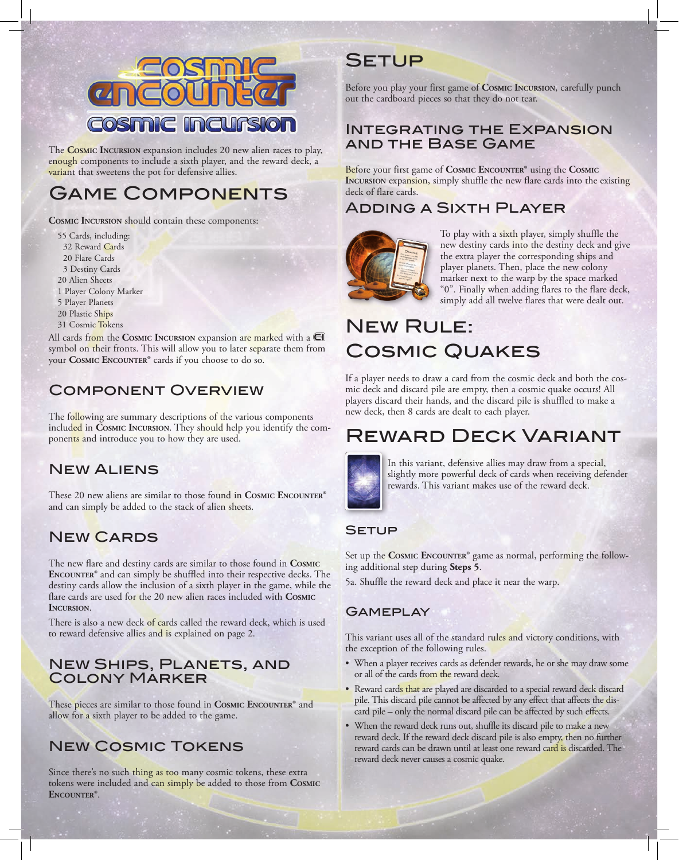

The **Cosmic Incursion** expansion includes 20 new alien races to play, enough components to include a sixth player, and the reward deck, a variant that sweetens the pot for defensive allies.

## Game Components

**Cosmic Incursion** should contain these components:

55 Cards, including: 32 Reward Cards 20 Flare Cards 3 Destiny Cards 20 Alien Sheets 1 Player Colony Marker 5 Player Planets 20 Plastic Ships 31 Cosmic Tokens

All cards from the **Cosmic Incursion** expansion are marked with a symbol on their fronts. This will allow you to later separate them from your **Cosmic Encounter®** cards if you choose to do so.

## Component Overview

The following are summary descriptions of the various components included in **Cosmic Incursion**. They should help you identify the components and introduce you to how they are used.

### New Aliens

These 20 new aliens are similar to those found in **Cosmic Encounter®**  and can simply be added to the stack of alien sheets.

## New Cards

The new flare and destiny cards are similar to those found in **Cosmic Encounter®** and can simply be shuffled into their respective decks. The destiny cards allow the inclusion of a sixth player in the game, while the flare cards are used for the 20 new alien races included with **Cosmic Incursion**.

There is also a new deck of cards called the reward deck, which is used to reward defensive allies and is explained on page 2.

### **NEW SHIPS, PLANETS, AND** Colony Marker

These pieces are similar to those found in **Cosmic Encounter®** and allow for a sixth player to be added to the game.

## New Cosmic Tokens

Since there's no such thing as too many cosmic tokens, these extra tokens were included and can simply be added to those from **Cosmic Encounter®**.

## **SETUP**

Before you play your first game of **Cosmic Incursion**, carefully punch out the cardboard pieces so that they do not tear.

### Integrating the Expansion and the Base Game

Before your first game of **Cosmic Encounter®** using the **Cosmic INCURSION** expansion, simply shuffle the new flare cards into the existing deck of flare cards.

## Adding a Sixth Player



To play with a sixth player, simply shuffle the new destiny cards into the destiny deck and give the extra player the corresponding ships and player planets. Then, place the new colony marker next to the warp by the space marked "0". Finally when adding flares to the flare deck, simply add all twelve flares that were dealt out.

# **NEW RULE:** Cosmic Quakes

If a player needs to draw a card from the cosmic deck and both the cosmic deck and discard pile are empty, then a cosmic quake occurs! All players discard their hands, and the discard pile is shuffled to make a new deck, then 8 cards are dealt to each player.

## Reward Deck Variant



In this variant, defensive allies may draw from a special, slightly more powerful deck of cards when receiving defender rewards. This variant makes use of the reward deck.

#### **SETUP**

Set up the **Cosmic Encounter®** game as normal, performing the following additional step during **Steps 5**.

5a. Shuffle the reward deck and place it near the warp.

#### **GAMEPLAY**

This variant uses all of the standard rules and victory conditions, with the exception of the following rules.

- When a player receives cards as defender rewards, he or she may draw some or all of the cards from the reward deck.
- Reward cards that are played are discarded to a special reward deck discard pile. This discard pile cannot be affected by any effect that affects the discard pile – only the normal discard pile can be affected by such effects.
- When the reward deck runs out, shuffle its discard pile to make a new reward deck. If the reward deck discard pile is also empty, then no further reward cards can be drawn until at least one reward card is discarded. The reward deck never causes a cosmic quake.